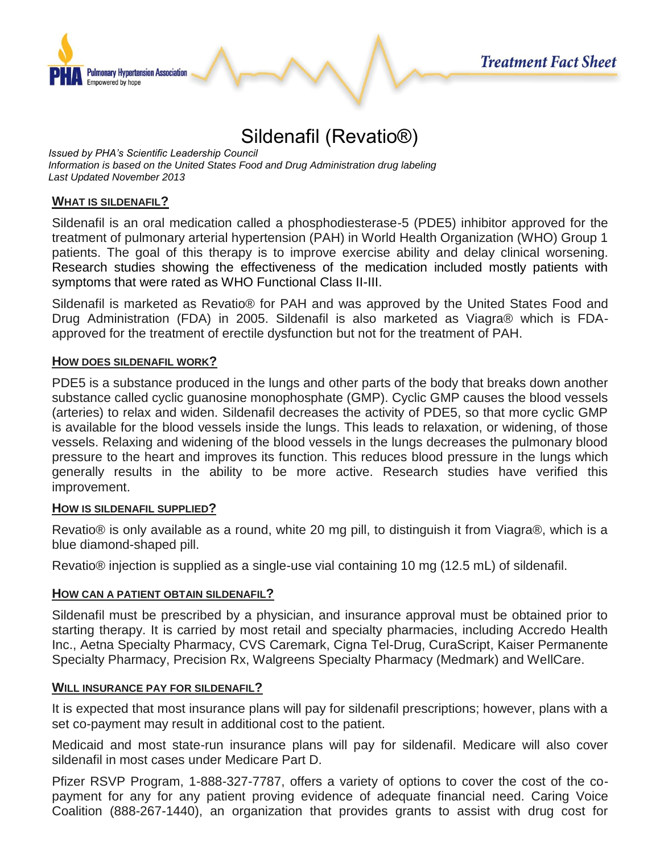

# Sildenafil (Revatio®)

*Issued by PHA's Scientific Leadership Council Information is based on the United States Food and Drug Administration drug labeling Last Updated November 2013*

### **WHAT IS SILDENAFIL?**

**Pulmonary Hypertension Association** 

Empowered by hope

Sildenafil is an oral medication called a phosphodiesterase-5 (PDE5) inhibitor approved for the treatment of pulmonary arterial hypertension (PAH) in World Health Organization (WHO) Group 1 patients. The goal of this therapy is to improve exercise ability and delay clinical worsening. Research studies showing the effectiveness of the medication included mostly patients with symptoms that were rated as WHO Functional Class II-III.

Sildenafil is marketed as Revatio® for PAH and was approved by the United States Food and Drug Administration (FDA) in 2005. Sildenafil is also marketed as Viagra® which is FDAapproved for the treatment of erectile dysfunction but not for the treatment of PAH.

### **HOW DOES SILDENAFIL WORK?**

PDE5 is a substance produced in the lungs and other parts of the body that breaks down another substance called cyclic guanosine monophosphate (GMP). Cyclic GMP causes the blood vessels (arteries) to relax and widen. Sildenafil decreases the activity of PDE5, so that more cyclic GMP is available for the blood vessels inside the lungs. This leads to relaxation, or widening, of those vessels. Relaxing and widening of the blood vessels in the lungs decreases the pulmonary blood pressure to the heart and improves its function. This reduces blood pressure in the lungs which generally results in the ability to be more active. Research studies have verified this improvement.

### **HOW IS SILDENAFIL SUPPLIED?**

Revatio® is only available as a round, white 20 mg pill, to distinguish it from Viagra®, which is a blue diamond-shaped pill.

Revatio® injection is supplied as a single-use vial containing 10 mg (12.5 mL) of sildenafil.

### **HOW CAN A PATIENT OBTAIN SILDENAFIL?**

Sildenafil must be prescribed by a physician, and insurance approval must be obtained prior to starting therapy. It is carried by most retail and specialty pharmacies, including Accredo Health Inc., Aetna Specialty Pharmacy, CVS Caremark, Cigna Tel-Drug, CuraScript, Kaiser Permanente Specialty Pharmacy, Precision Rx, Walgreens Specialty Pharmacy (Medmark) and WellCare.

### **WILL INSURANCE PAY FOR SILDENAFIL?**

It is expected that most insurance plans will pay for sildenafil prescriptions; however, plans with a set co-payment may result in additional cost to the patient.

Medicaid and most state-run insurance plans will pay for sildenafil. Medicare will also cover sildenafil in most cases under Medicare Part D.

Pfizer RSVP Program, 1-888-327-7787, offers a variety of options to cover the cost of the copayment for any for any patient proving evidence of adequate financial need. Caring Voice Coalition (888-267-1440), an organization that provides grants to assist with drug cost for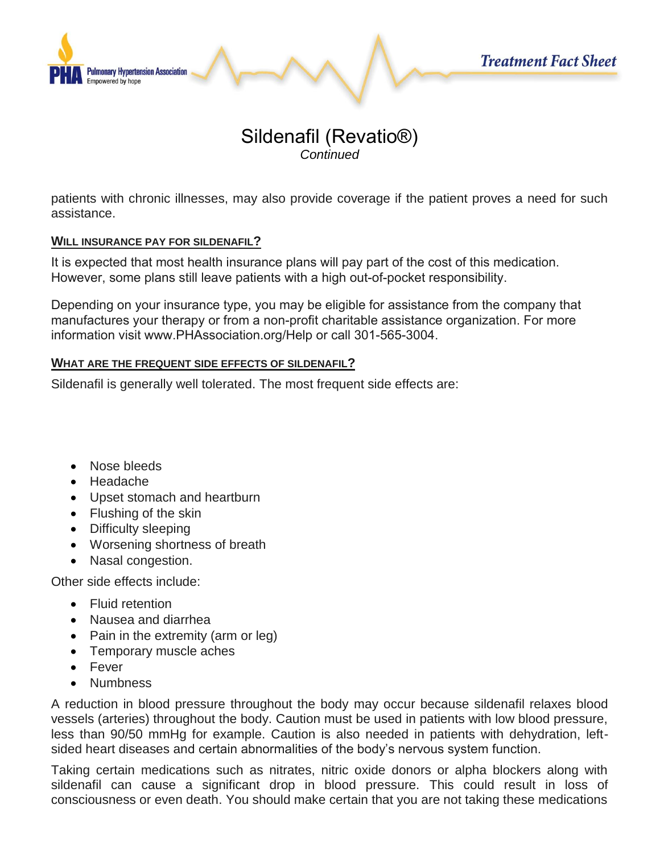

## Sildenafil (Revatio®) *Continued*

patients with chronic illnesses, may also provide coverage if the patient proves a need for such assistance.

### **WILL INSURANCE PAY FOR SILDENAFIL?**

It is expected that most health insurance plans will pay part of the cost of this medication. However, some plans still leave patients with a high out-of-pocket responsibility.

Depending on your insurance type, you may be eligible for assistance from the company that manufactures your therapy or from a non-profit charitable assistance organization. For more information visit [www.PHAssociation.org/Help](https://www.PHAssociation.org/Help) or call 301-565-3004.

### **WHAT ARE THE FREQUENT SIDE EFFECTS OF SILDENAFIL?**

Sildenafil is generally well tolerated. The most frequent side effects are:

- Nose bleeds
- Headache
- Upset stomach and heartburn
- Flushing of the skin
- Difficulty sleeping
- Worsening shortness of breath
- Nasal congestion.

Other side effects include:

- Fluid retention
- Nausea and diarrhea
- Pain in the extremity (arm or leg)
- Temporary muscle aches
- Fever
- Numbness

A reduction in blood pressure throughout the body may occur because sildenafil relaxes blood vessels (arteries) throughout the body. Caution must be used in patients with low blood pressure, less than 90/50 mmHg for example. Caution is also needed in patients with dehydration, leftsided heart diseases and certain abnormalities of the body's nervous system function.

Taking certain medications such as nitrates, nitric oxide donors or alpha blockers along with sildenafil can cause a significant drop in blood pressure. This could result in loss of consciousness or even death. You should make certain that you are not taking these medications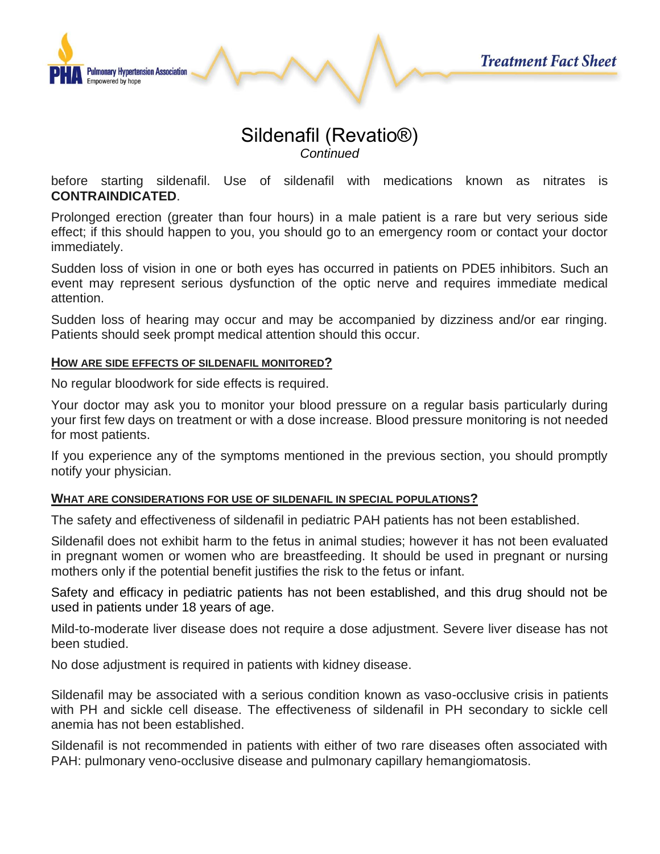

### Sildenafil (Revatio®) *Continued*

before starting sildenafil. Use of sildenafil with medications known as nitrates is **CONTRAINDICATED**.

Prolonged erection (greater than four hours) in a male patient is a rare but very serious side effect; if this should happen to you, you should go to an emergency room or contact your doctor immediately.

Sudden loss of vision in one or both eyes has occurred in patients on PDE5 inhibitors. Such an event may represent serious dysfunction of the optic nerve and requires immediate medical attention.

Sudden loss of hearing may occur and may be accompanied by dizziness and/or ear ringing. Patients should seek prompt medical attention should this occur.

### **HOW ARE SIDE EFFECTS OF SILDENAFIL MONITORED?**

No regular bloodwork for side effects is required.

Your doctor may ask you to monitor your blood pressure on a regular basis particularly during your first few days on treatment or with a dose increase. Blood pressure monitoring is not needed for most patients.

If you experience any of the symptoms mentioned in the previous section, you should promptly notify your physician.

### **WHAT ARE CONSIDERATIONS FOR USE OF SILDENAFIL IN SPECIAL POPULATIONS?**

The safety and effectiveness of sildenafil in pediatric PAH patients has not been established.

Sildenafil does not exhibit harm to the fetus in animal studies; however it has not been evaluated in pregnant women or women who are breastfeeding. It should be used in pregnant or nursing mothers only if the potential benefit justifies the risk to the fetus or infant.

Safety and efficacy in pediatric patients has not been established, and this drug should not be used in patients under 18 years of age.

Mild-to-moderate liver disease does not require a dose adjustment. Severe liver disease has not been studied.

No dose adjustment is required in patients with kidney disease.

Sildenafil may be associated with a serious condition known as vaso-occlusive crisis in patients with PH and sickle cell disease. The effectiveness of sildenafil in PH secondary to sickle cell anemia has not been established.

Sildenafil is not recommended in patients with either of two rare diseases often associated with PAH: pulmonary veno-occlusive disease and pulmonary capillary hemangiomatosis.